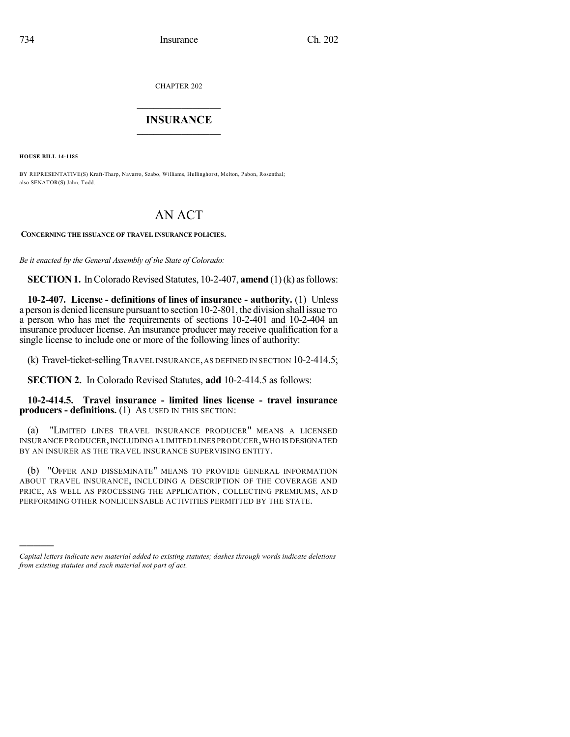CHAPTER 202

## $\overline{\phantom{a}}$  . The set of the set of the set of the set of the set of the set of the set of the set of the set of the set of the set of the set of the set of the set of the set of the set of the set of the set of the set o **INSURANCE**  $\frac{1}{2}$  ,  $\frac{1}{2}$  ,  $\frac{1}{2}$  ,  $\frac{1}{2}$  ,  $\frac{1}{2}$  ,  $\frac{1}{2}$  ,  $\frac{1}{2}$

**HOUSE BILL 14-1185**

)))))

BY REPRESENTATIVE(S) Kraft-Tharp, Navarro, Szabo, Williams, Hullinghorst, Melton, Pabon, Rosenthal; also SENATOR(S) Jahn, Todd.

# AN ACT

**CONCERNING THE ISSUANCE OF TRAVEL INSURANCE POLICIES.**

*Be it enacted by the General Assembly of the State of Colorado:*

**SECTION 1.** In Colorado Revised Statutes, 10-2-407, **amend** (1)(k) as follows:

**10-2-407. License - definitions of lines of insurance - authority.** (1) Unless a person is denied licensure pursuant to section 10-2-801, the division shall issue TO a person who has met the requirements of sections 10-2-401 and 10-2-404 an insurance producer license. An insurance producer may receive qualification for a single license to include one or more of the following lines of authority:

(k) Travel-ticket-selling TRAVEL INSURANCE, AS DEFINED IN SECTION 10-2-414.5;

**SECTION 2.** In Colorado Revised Statutes, **add** 10-2-414.5 as follows:

**10-2-414.5. Travel insurance - limited lines license - travel insurance producers - definitions.** (1) AS USED IN THIS SECTION:

(a) "LIMITED LINES TRAVEL INSURANCE PRODUCER" MEANS A LICENSED INSURANCE PRODUCER,INCLUDING A LIMITED LINES PRODUCER,WHO IS DESIGNATED BY AN INSURER AS THE TRAVEL INSURANCE SUPERVISING ENTITY.

(b) "OFFER AND DISSEMINATE" MEANS TO PROVIDE GENERAL INFORMATION ABOUT TRAVEL INSURANCE, INCLUDING A DESCRIPTION OF THE COVERAGE AND PRICE, AS WELL AS PROCESSING THE APPLICATION, COLLECTING PREMIUMS, AND PERFORMING OTHER NONLICENSABLE ACTIVITIES PERMITTED BY THE STATE.

*Capital letters indicate new material added to existing statutes; dashes through words indicate deletions from existing statutes and such material not part of act.*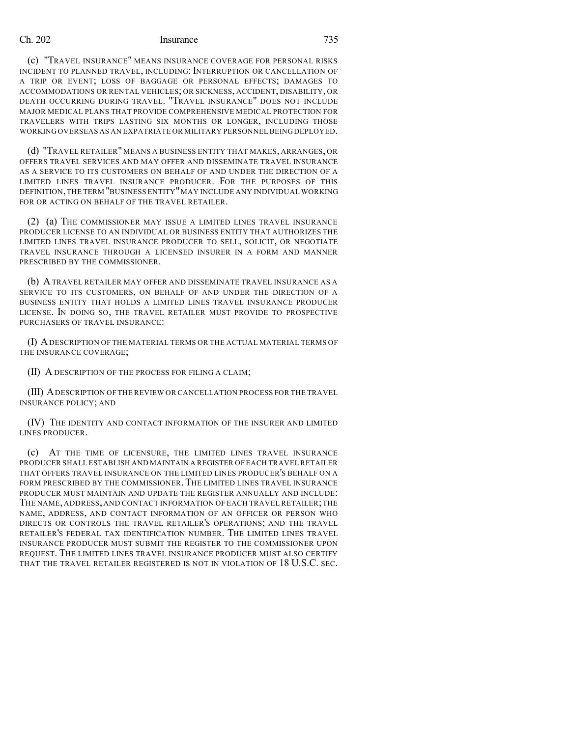### Ch. 202 Insurance 735

(c) "TRAVEL INSURANCE" MEANS INSURANCE COVERAGE FOR PERSONAL RISKS INCIDENT TO PLANNED TRAVEL, INCLUDING: INTERRUPTION OR CANCELLATION OF A TRIP OR EVENT; LOSS OF BAGGAGE OR PERSONAL EFFECTS; DAMAGES TO ACCOMMODATIONS OR RENTAL VEHICLES; OR SICKNESS, ACCIDENT, DISABILITY, OR DEATH OCCURRING DURING TRAVEL. "TRAVEL INSURANCE" DOES NOT INCLUDE MAJOR MEDICAL PLANS THAT PROVIDE COMPREHENSIVE MEDICAL PROTECTION FOR TRAVELERS WITH TRIPS LASTING SIX MONTHS OR LONGER, INCLUDING THOSE WORKING OVERSEAS AS AN EXPATRIATE OR MILITARY PERSONNEL BEINGDEPLOYED.

(d) "TRAVEL RETAILER" MEANS A BUSINESS ENTITY THAT MAKES, ARRANGES, OR OFFERS TRAVEL SERVICES AND MAY OFFER AND DISSEMINATE TRAVEL INSURANCE AS A SERVICE TO ITS CUSTOMERS ON BEHALF OF AND UNDER THE DIRECTION OF A LIMITED LINES TRAVEL INSURANCE PRODUCER. FOR THE PURPOSES OF THIS DEFINITION,THE TERM "BUSINESS ENTITY"MAY INCLUDE ANY INDIVIDUAL WORKING FOR OR ACTING ON BEHALF OF THE TRAVEL RETAILER.

(2) (a) THE COMMISSIONER MAY ISSUE A LIMITED LINES TRAVEL INSURANCE PRODUCER LICENSE TO AN INDIVIDUAL OR BUSINESS ENTITY THAT AUTHORIZES THE LIMITED LINES TRAVEL INSURANCE PRODUCER TO SELL, SOLICIT, OR NEGOTIATE TRAVEL INSURANCE THROUGH A LICENSED INSURER IN A FORM AND MANNER PRESCRIBED BY THE COMMISSIONER.

(b) ATRAVEL RETAILER MAY OFFER AND DISSEMINATE TRAVEL INSURANCE AS A SERVICE TO ITS CUSTOMERS, ON BEHALF OF AND UNDER THE DIRECTION OF A BUSINESS ENTITY THAT HOLDS A LIMITED LINES TRAVEL INSURANCE PRODUCER LICENSE. IN DOING SO, THE TRAVEL RETAILER MUST PROVIDE TO PROSPECTIVE PURCHASERS OF TRAVEL INSURANCE:

(I) ADESCRIPTION OF THE MATERIAL TERMS OR THE ACTUAL MATERIAL TERMS OF THE INSURANCE COVERAGE;

(II) A DESCRIPTION OF THE PROCESS FOR FILING A CLAIM;

(III) ADESCRIPTION OF THE REVIEW OR CANCELLATION PROCESS FOR THE TRAVEL INSURANCE POLICY; AND

(IV) THE IDENTITY AND CONTACT INFORMATION OF THE INSURER AND LIMITED LINES PRODUCER.

(c) AT THE TIME OF LICENSURE, THE LIMITED LINES TRAVEL INSURANCE PRODUCER SHALL ESTABLISH AND MAINTAIN A REGISTER OF EACH TRAVELRETAILER THAT OFFERS TRAVEL INSURANCE ON THE LIMITED LINES PRODUCER'S BEHALF ON A FORM PRESCRIBED BY THE COMMISSIONER. THE LIMITED LINES TRAVEL INSURANCE PRODUCER MUST MAINTAIN AND UPDATE THE REGISTER ANNUALLY AND INCLUDE: THE NAME, ADDRESS, AND CONTACT INFORMATION OF EACH TRAVEL RETAILER;THE NAME, ADDRESS, AND CONTACT INFORMATION OF AN OFFICER OR PERSON WHO DIRECTS OR CONTROLS THE TRAVEL RETAILER'S OPERATIONS; AND THE TRAVEL RETAILER'S FEDERAL TAX IDENTIFICATION NUMBER. THE LIMITED LINES TRAVEL INSURANCE PRODUCER MUST SUBMIT THE REGISTER TO THE COMMISSIONER UPON REQUEST. THE LIMITED LINES TRAVEL INSURANCE PRODUCER MUST ALSO CERTIFY THAT THE TRAVEL RETAILER REGISTERED IS NOT IN VIOLATION OF 18 U.S.C. SEC.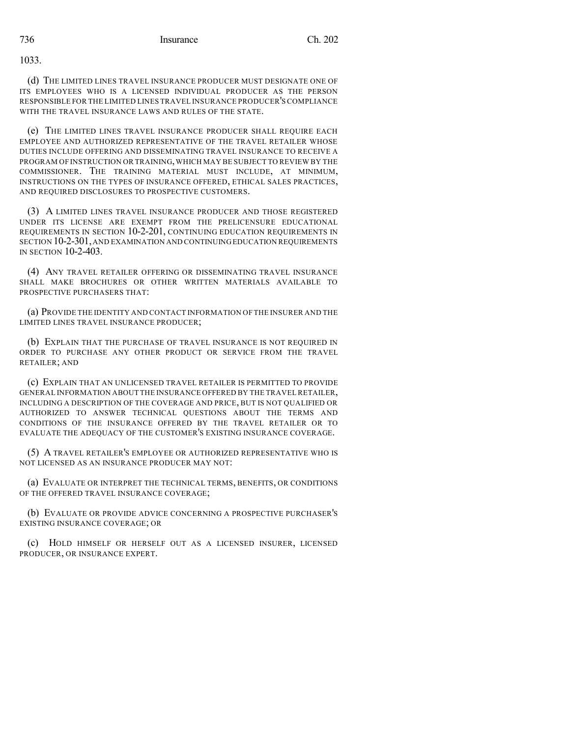1033.

(d) THE LIMITED LINES TRAVEL INSURANCE PRODUCER MUST DESIGNATE ONE OF ITS EMPLOYEES WHO IS A LICENSED INDIVIDUAL PRODUCER AS THE PERSON RESPONSIBLE FOR THE LIMITED LINES TRAVEL INSURANCE PRODUCER'S COMPLIANCE WITH THE TRAVEL INSURANCE LAWS AND RULES OF THE STATE.

(e) THE LIMITED LINES TRAVEL INSURANCE PRODUCER SHALL REQUIRE EACH EMPLOYEE AND AUTHORIZED REPRESENTATIVE OF THE TRAVEL RETAILER WHOSE DUTIES INCLUDE OFFERING AND DISSEMINATING TRAVEL INSURANCE TO RECEIVE A PROGRAM OF INSTRUCTION OR TRAINING,WHICH MAY BE SUBJECT TO REVIEW BY THE COMMISSIONER. THE TRAINING MATERIAL MUST INCLUDE, AT MINIMUM, INSTRUCTIONS ON THE TYPES OF INSURANCE OFFERED, ETHICAL SALES PRACTICES, AND REQUIRED DISCLOSURES TO PROSPECTIVE CUSTOMERS.

(3) A LIMITED LINES TRAVEL INSURANCE PRODUCER AND THOSE REGISTERED UNDER ITS LICENSE ARE EXEMPT FROM THE PRELICENSURE EDUCATIONAL REQUIREMENTS IN SECTION 10-2-201, CONTINUING EDUCATION REQUIREMENTS IN SECTION 10-2-301,AND EXAMINATION AND CONTINUINGEDUCATION REQUIREMENTS IN SECTION 10-2-403.

(4) ANY TRAVEL RETAILER OFFERING OR DISSEMINATING TRAVEL INSURANCE SHALL MAKE BROCHURES OR OTHER WRITTEN MATERIALS AVAILABLE TO PROSPECTIVE PURCHASERS THAT:

(a) PROVIDE THE IDENTITY AND CONTACT INFORMATION OF THE INSURER AND THE LIMITED LINES TRAVEL INSURANCE PRODUCER;

(b) EXPLAIN THAT THE PURCHASE OF TRAVEL INSURANCE IS NOT REQUIRED IN ORDER TO PURCHASE ANY OTHER PRODUCT OR SERVICE FROM THE TRAVEL RETAILER; AND

(c) EXPLAIN THAT AN UNLICENSED TRAVEL RETAILER IS PERMITTED TO PROVIDE GENERAL INFORMATION ABOUT THE INSURANCE OFFERED BY THE TRAVEL RETAILER, INCLUDING A DESCRIPTION OF THE COVERAGE AND PRICE, BUT IS NOT QUALIFIED OR AUTHORIZED TO ANSWER TECHNICAL QUESTIONS ABOUT THE TERMS AND CONDITIONS OF THE INSURANCE OFFERED BY THE TRAVEL RETAILER OR TO EVALUATE THE ADEQUACY OF THE CUSTOMER'S EXISTING INSURANCE COVERAGE.

(5) A TRAVEL RETAILER'S EMPLOYEE OR AUTHORIZED REPRESENTATIVE WHO IS NOT LICENSED AS AN INSURANCE PRODUCER MAY NOT:

(a) EVALUATE OR INTERPRET THE TECHNICAL TERMS, BENEFITS, OR CONDITIONS OF THE OFFERED TRAVEL INSURANCE COVERAGE;

(b) EVALUATE OR PROVIDE ADVICE CONCERNING A PROSPECTIVE PURCHASER'S EXISTING INSURANCE COVERAGE; OR

(c) HOLD HIMSELF OR HERSELF OUT AS A LICENSED INSURER, LICENSED PRODUCER, OR INSURANCE EXPERT.